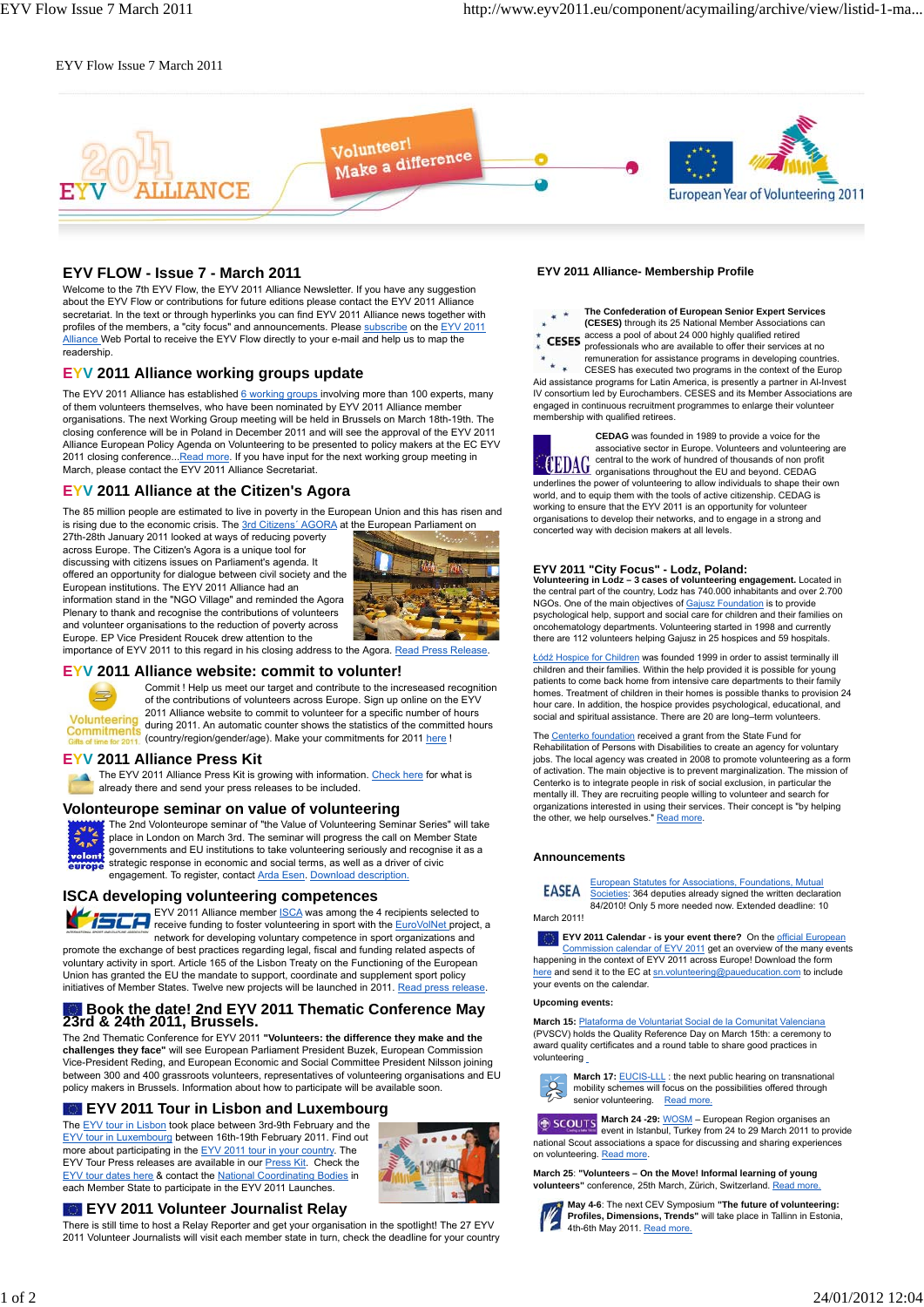#### EYV Flow Issue 7 March 2011



# **EYV FLOW - Issue 7 - March 2011**

Welcome to the 7th EYV Flow, the EYV 2011 Alliance Newsletter. If you have any suggestion about the EYV Flow or contributions for future editions please contact the EYV 2011 Alliance secretariat. In the text or through hyperlinks you can find EYV 2011 Alliance news together with profiles of the members, a "city focus" and announcements. Please subscribe on the EYV 2011 Alliance Web Portal to receive the EYV Flow directly to your e-mail and help us to map the readership.

#### **EYV 2011 Alliance working groups update**

The EYV 2011 Alliance has established 6 working groups involving more than 100 experts, many of them volunteers themselves, who have been nominated by EYV 2011 Alliance member organisations. The next Working Group meeting will be held in Brussels on March 18th-19th. The closing conference will be in Poland in December 2011 and will see the approval of the EYV 2011 Alliance European Policy Agenda on Volunteering to be presented to policy makers at the EC EYV 2011 closing conference...Read more. If you have input for the next working group meeting in March, please contact the EYV 2011 Alliance Secretariat.

## **EYV 2011 Alliance at the Citizen's Agora**

The 85 million people are estimated to live in poverty in the European Union and this has risen and is rising due to the economic crisis. The 3rd Citizens' AGORA at the European Parliament on

27th-28th January 2011 looked at ways of reducing poverty across Europe. The Citizen's Agora is a unique tool for discussing with citizens issues on Parliament's agenda. It offered an opportunity for dialogue between civil society and the European institutions. The EYV 2011 Alliance had an information stand in the "NGO Village" and reminded the Agora Plenary to thank and recognise the contributions of volunteers and volunteer organisations to the reduction of poverty across Europe. EP Vice President Roucek drew attention to the



**EYV 2011 Alliance website: commit to volunter!**

Commit ! Help us meet our target and contribute to the increseased recognition of the contributions of volunteers across Europe. Sign up online on the EYV 2011 Alliance website to commit to volunteer for a specific number of hours Volunteering during 2011. An automatic counter shows the statistics of the committed hours **Commitments** (country/region/gender/age). Make your commitments for 2011 here !

importance of EYV 2011 to this regard in his closing address to the Agora. Read Press Release.

#### **EYV 2011 Alliance Press Kit**

The EYV 2011 Alliance Press Kit is growing with information. Check here for what is already there and send your press releases to be included.

#### **Volonteurope seminar on value of volunteering**



The 2nd Volonteurope seminar of "the Value of Volunteering Seminar Series" will take place in London on March 3rd. The seminar will progress the call on Member State governments and EU institutions to take volunteering seriously and recognise it as a strategic response in economic and social terms, as well as a driver of civic engagement. To register, contact Arda Esen. Download description.

## **ISCA developing volunteering competences**

EYV 2011 Alliance member **ISCA** was among the 4 recipients selected to receive funding to foster volunteering in sport with the EuroVolNet project, a network for developing voluntary competence in sport organizations and promote the exchange of best practices regarding legal, fiscal and funding related aspects of voluntary activity in sport. Article 165 of the Lisbon Treaty on the Functioning of the European Union has granted the EU the mandate to support, coordinate and supplement sport policy initiatives of Member States. Twelve new projects will be launched in 2011. Read press release.

# **Book the date! 2nd EYV 2011 Thematic Conference May 23rd & 24th 2011, Brussels.**

The 2nd Thematic Conference for EYV 2011 **"Volunteers: the difference they make and the challenges they face"** will see European Parliament President Buzek, European Commission Vice-President Reding, and European Economic and Social Committee President Nilsson joining between 300 and 400 grassroots volunteers, representatives of volunteering organisations and EU policy makers in Brussels. Information about how to participate will be available soon.

# **EXT** EYV 2011 Tour in Lisbon and Luxembourg

The EYV tour in Lisbon took place between 3rd-9th February and the EYV tour in Luxembourg between 16th-19th February 2011. Find out more about participating in the EYV 2011 tour in your country. The EYV Tour Press releases are available in our Press Kit. Check the EYV tour dates here & contact the National Coordinating Bodies in each Member State to participate in the EYV 2011 Launches.



# **EYV 2011 Volunteer Journalist Relay**

There is still time to host a Relay Reporter and get your organisation in the spotlight! The 27 EYV 2011 Volunteer Journalists will visit each member state in turn, check the deadline for your country

#### **EYV 2011 Alliance- Membership Profile**

**The Confederation of European Senior Expert Services**  $x +$ **(CESES)** through its 25 National Member Associations can **CESES** access a pool of about 24 000 highly qualified retired professionals who are available to offer their services at no remuneration for assistance programs in developing countries.  $\star$ . CESES has executed two programs in the context of the Europ Aid assistance programs for Latin America, is presently a partner in Al-Invest IV consortium led by Eurochambers. CESES and its Member Associations are engaged in continuous recruitment programmes to enlarge their volunteer membership with qualified retirees.

**CEDAG** was founded in 1989 to provide a voice for the associative sector in Europe. Volunteers and volunteering are central to the work of hundred of thousands of non profit organisations throughout the EU and beyond. CEDAG underlines the power of volunteering to allow individuals to shape their own world, and to equip them with the tools of active citizenship. CEDAG is working to ensure that the EYV 2011 is an opportunity for volunteer organisations to develop their networks, and to engage in a strong and concerted way with decision makers at all levels.

**EYV 2011 "City Focus" - Lodz, Poland: Volunteering in Lodz – 3 cases of volunteering engagement.** Located in the central part of the country, Lodz has 740.000 inhabitants and over 2.700 NGOs. One of the main objectives of Gajusz Foundation is to provide psychological help, support and social care for children and their families on oncohematology departments. Volunteering started in 1998 and currently there are 112 volunteers helping Gajusz in 25 hospices and 59 hospitals.

Łódź Hospice for Children was founded 1999 in order to assist terminally ill children and their families. Within the help provided it is possible for young patients to come back home from intensive care departments to their family homes. Treatment of children in their homes is possible thanks to provision 24 hour care. In addition, the hospice provides psychological, educational, and social and spiritual assistance. There are 20 are long–term volunteers.

The Centerko foundation received a grant from the State Fund for Rehabilitation of Persons with Disabilities to create an agency for voluntary jobs. The local agency was created in 2008 to promote volunteering as a form of activation. The main objective is to prevent marginalization. The mission of Centerko is to integrate people in risk of social exclusion, in particular the mentally ill. They are recruiting people willing to volunteer and search for organizations interested in using their services. Their concept is "by helping the other, we help ourselves." Read more.

#### **Announcements**



European Statutes for Associations, Foundations, Mutual Societies: 364 deputies already signed the written declaration 84/2010! Only 5 more needed now. Extended deadline: 10

March 2011!

**EYV 2011 Calendar - is your event there?** On the official European Commission calendar of EYV 2011 get an overview of the many events happening in the context of EYV 2011 across Europe! Download the form here and send it to the EC at sn.volunteering@paueducation.com to include your events on the calendar.

#### **Upcoming events:**

**March 15:** Plataforma de Voluntariat Social de la Comunitat Valenciana (PVSCV) holds the Quality Reference Day on March 15th: a ceremony to award quality certificates and a round table to share good practices in volunteering

**March 17: EUCIS-LLL**: the next public hearing on transnational mobility schemes will focus on the possibilities offered through senior volunteering. Read more.

**March 24 -29:** WOSM – European Region organises an event in Istanbul, Turkey from 24 to 29 March 2011 to provide national Scout associations a space for discussing and sharing experiences on volunteering. Read more.

**March 25**: **"Volunteers – On the Move! Informal learning of young** waren 25. Folumeers" on the mover informal fearming.<br>**volunteers**" conference, 25th March, Zürich, Switzerland. F



**May 4-6**: The next CEV Symposium **"The future of volunteering: Profiles, Dimensions, Trends"** will take place in Tallinn in Estonia, 4th-6th May 2011. Read more.